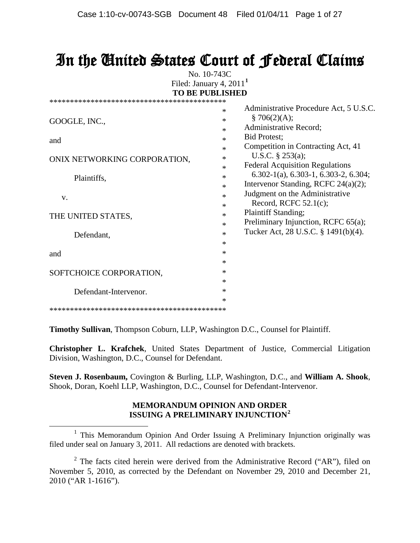# In the United States Court of Federal Claims

No. 10-743C Filed: January 4, 2011**[1](#page-0-0) TO BE PUBLISHED**

|                              | *      | Administrative Procedure Act, 5 U.S.C.           |
|------------------------------|--------|--------------------------------------------------|
| GOOGLE, INC.,                | *      | \$706(2)(A);                                     |
|                              | *      | Administrative Record;                           |
| and                          | *      | <b>Bid Protest;</b>                              |
|                              | *      | Competition in Contracting Act, 41               |
| ONIX NETWORKING CORPORATION, | *      | U.S.C. $\S$ 253(a);                              |
|                              | *      | <b>Federal Acquisition Regulations</b>           |
| Plaintiffs,                  | *      | $6.302-1(a)$ , $6.303-1$ , $6.303-2$ , $6.304$ ; |
|                              | *      | Intervenor Standing, RCFC 24(a)(2);              |
| V.                           | *      | Judgment on the Administrative                   |
|                              | *      | Record, RCFC $52.1(c)$ ;                         |
| THE UNITED STATES,           | $\ast$ | <b>Plaintiff Standing;</b>                       |
|                              | *      | Preliminary Injunction, RCFC 65(a);              |
| Defendant,                   | *      | Tucker Act, 28 U.S.C. § 1491(b)(4).              |
|                              | *      |                                                  |
| and                          | *      |                                                  |
|                              | *      |                                                  |
| SOFTCHOICE CORPORATION,      | *      |                                                  |
|                              | *      |                                                  |
| Defendant-Intervenor.        | *      |                                                  |
|                              | *      |                                                  |
|                              |        |                                                  |

**Timothy Sullivan**, Thompson Coburn, LLP, Washington D.C., Counsel for Plaintiff.

**Christopher L. Krafchek**, United States Department of Justice, Commercial Litigation Division, Washington, D.C., Counsel for Defendant.

**Steven J. Rosenbaum,** Covington & Burling, LLP, Washington, D.C., and **William A. Shook**, Shook, Doran, Koehl LLP, Washington, D.C., Counsel for Defendant-Intervenor.

#### **MEMORANDUM OPINION AND ORDER ISSUING A PRELIMINARY INJUNCTION[2](#page-0-1)**

<span id="page-0-0"></span><sup>&</sup>lt;sup>1</sup> This Memorandum Opinion And Order Issuing A Preliminary Injunction originally was filed under seal on January 3, 2011. All redactions are denoted with brackets.

<span id="page-0-1"></span> $2$  The facts cited herein were derived from the Administrative Record ("AR"), filed on November 5, 2010, as corrected by the Defendant on November 29, 2010 and December 21, 2010 ("AR 1-1616").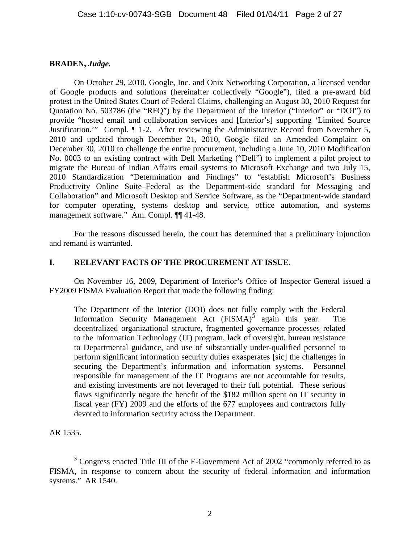## **BRADEN,** *Judge.*

On October 29, 2010, Google, Inc. and Onix Networking Corporation, a licensed vendor of Google products and solutions (hereinafter collectively "Google"), filed a pre-award bid protest in the United States Court of Federal Claims, challenging an August 30, 2010 Request for Quotation No. 503786 (the "RFQ") by the Department of the Interior ("Interior" or "DOI") to provide "hosted email and collaboration services and [Interior's] supporting 'Limited Source Justification.'" Compl. ¶ 1-2. After reviewing the Administrative Record from November 5, 2010 and updated through December 21, 2010, Google filed an Amended Complaint on December 30, 2010 to challenge the entire procurement, including a June 10, 2010 Modification No. 0003 to an existing contract with Dell Marketing ("Dell") to implement a pilot project to migrate the Bureau of Indian Affairs email systems to Microsoft Exchange and two July 15, 2010 Standardization "Determination and Findings" to "establish Microsoft's Business Productivity Online Suite–Federal as the Department-side standard for Messaging and Collaboration" and Microsoft Desktop and Service Software, as the "Department-wide standard for computer operating, systems desktop and service, office automation, and systems management software." Am. Compl. ¶¶ 41-48.

For the reasons discussed herein, the court has determined that a preliminary injunction and remand is warranted.

## **I. RELEVANT FACTS OF THE PROCUREMENT AT ISSUE.**

On November 16, 2009, Department of Interior's Office of Inspector General issued a FY2009 FISMA Evaluation Report that made the following finding:

The Department of the Interior (DOI) does not fully comply with the Federal Information Security Management Act  $(FISMA)^3$  $(FISMA)^3$  again this year. The decentralized organizational structure, fragmented governance processes related to the Information Technology (IT) program, lack of oversight, bureau resistance to Departmental guidance, and use of substantially under-qualified personnel to perform significant information security duties exasperates [sic] the challenges in securing the Department's information and information systems. Personnel responsible for management of the IT Programs are not accountable for results, and existing investments are not leveraged to their full potential. These serious flaws significantly negate the benefit of the \$182 million spent on IT security in fiscal year (FY) 2009 and the efforts of the 677 employees and contractors fully devoted to information security across the Department.

AR 1535.

<span id="page-1-0"></span> <sup>3</sup> Congress enacted Title III of the E-Government Act of 2002 "commonly referred to as FISMA, in response to concern about the security of federal information and information systems." AR 1540.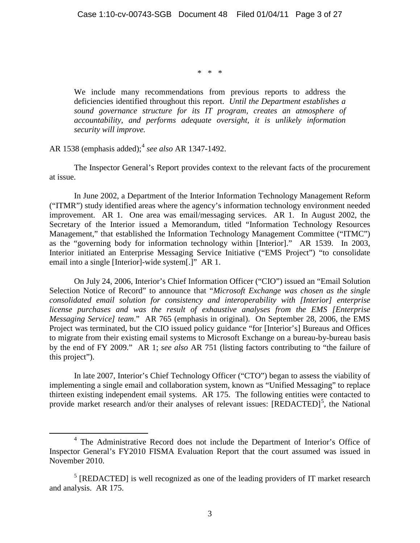\* \* \*

We include many recommendations from previous reports to address the deficiencies identified throughout this report. *Until the Department establishes a sound governance structure for its IT program, creates an atmosphere of accountability, and performs adequate oversight, it is unlikely information security will improve.*

AR 1538 (emphasis added);[4](#page-2-0) *see also* AR 1347-1492.

The Inspector General's Report provides context to the relevant facts of the procurement at issue.

In June 2002, a Department of the Interior Information Technology Management Reform ("ITMR") study identified areas where the agency's information technology environment needed improvement. AR 1. One area was email/messaging services. AR 1. In August 2002, the Secretary of the Interior issued a Memorandum, titled "Information Technology Resources Management," that established the Information Technology Management Committee ("ITMC") as the "governing body for information technology within [Interior]." AR 1539. In 2003, Interior initiated an Enterprise Messaging Service Initiative ("EMS Project") "to consolidate email into a single [Interior]-wide system[.]" AR 1.

On July 24, 2006, Interior's Chief Information Officer ("CIO") issued an "Email Solution Selection Notice of Record" to announce that "*Microsoft Exchange was chosen as the single consolidated email solution for consistency and interoperability with [Interior] enterprise license purchases and was the result of exhaustive analyses from the EMS [Enterprise Messaging Service] team*." AR 765 (emphasis in original). On September 28, 2006, the EMS Project was terminated, but the CIO issued policy guidance "for [Interior's] Bureaus and Offices to migrate from their existing email systems to Microsoft Exchange on a bureau-by-bureau basis by the end of FY 2009." AR 1; *see also* AR 751 (listing factors contributing to "the failure of this project").

In late 2007, Interior's Chief Technology Officer ("CTO") began to assess the viability of implementing a single email and collaboration system, known as "Unified Messaging" to replace thirteen existing independent email systems. AR 175. The following entities were contacted to provide market research and/or their analyses of relevant issues:  $[REDACTED]$ <sup>[5](#page-2-1)</sup>, the National

<span id="page-2-0"></span> <sup>4</sup> The Administrative Record does not include the Department of Interior's Office of Inspector General's FY2010 FISMA Evaluation Report that the court assumed was issued in November 2010.

<span id="page-2-1"></span><sup>&</sup>lt;sup>5</sup> [REDACTED] is well recognized as one of the leading providers of IT market research and analysis. AR 175.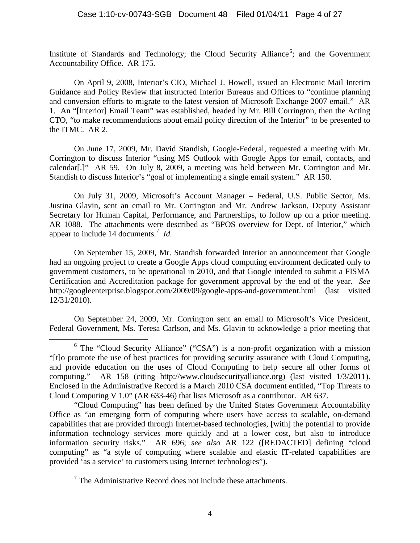Institute of Standards and Technology; the Cloud Security Alliance<sup>[6](#page-3-0)</sup>; and the Government Accountability Office. AR 175.

On April 9, 2008, Interior's CIO, Michael J. Howell, issued an Electronic Mail Interim Guidance and Policy Review that instructed Interior Bureaus and Offices to "continue planning and conversion efforts to migrate to the latest version of Microsoft Exchange 2007 email." AR 1. An "[Interior] Email Team" was established, headed by Mr. Bill Corrington, then the Acting CTO, "to make recommendations about email policy direction of the Interior" to be presented to the ITMC. AR 2.

On June 17, 2009, Mr. David Standish, Google-Federal, requested a meeting with Mr. Corrington to discuss Interior "using MS Outlook with Google Apps for email, contacts, and calendar[.]" AR 59. On July 8, 2009, a meeting was held between Mr. Corrington and Mr. Standish to discuss Interior's "goal of implementing a single email system." AR 150.

On July 31, 2009, Microsoft's Account Manager – Federal, U.S. Public Sector, Ms. Justina Glavin, sent an email to Mr. Corrington and Mr. Andrew Jackson, Deputy Assistant Secretary for Human Capital, Performance, and Partnerships, to follow up on a prior meeting. AR 1088. The attachments were described as "BPOS overview for Dept. of Interior," which appear to include 14 documents.<sup>[7](#page-3-1)</sup> *Id.* 

On September 15, 2009, Mr. Standish forwarded Interior an announcement that Google had an ongoing project to create a Google Apps cloud computing environment dedicated only to government customers, to be operational in 2010, and that Google intended to submit a FISMA Certification and Accreditation package for government approval by the end of the year. *See* http://googleenterprise.blogspot.com/2009/09/google-apps-and-government.html (last visited 12/31/2010).

On September 24, 2009, Mr. Corrington sent an email to Microsoft's Vice President, Federal Government, Ms. Teresa Carlson, and Ms. Glavin to acknowledge a prior meeting that

<span id="page-3-1"></span> $<sup>7</sup>$  The Administrative Record does not include these attachments.</sup>

<span id="page-3-0"></span><sup>&</sup>lt;sup>6</sup> The "Cloud Security Alliance" ("CSA") is a non-profit organization with a mission "[t]o promote the use of best practices for providing security assurance with Cloud Computing, and provide education on the uses of Cloud Computing to help secure all other forms of computing." AR 158 (citing http://www.cloudsecurityalliance.org) (last visited 1/3/2011). Enclosed in the Administrative Record is a March 2010 CSA document entitled, "Top Threats to Cloud Computing V 1.0" (AR 633-46) that lists Microsoft as a contributor. AR 637.

<sup>&</sup>quot;Cloud Computing" has been defined by the United States Government Accountability Office as "an emerging form of computing where users have access to scalable, on-demand capabilities that are provided through Internet-based technologies, [with] the potential to provide information technology services more quickly and at a lower cost, but also to introduce information security risks." AR 696; *see also* AR 122 ([REDACTED] defining "cloud computing" as "a style of computing where scalable and elastic IT-related capabilities are provided 'as a service' to customers using Internet technologies").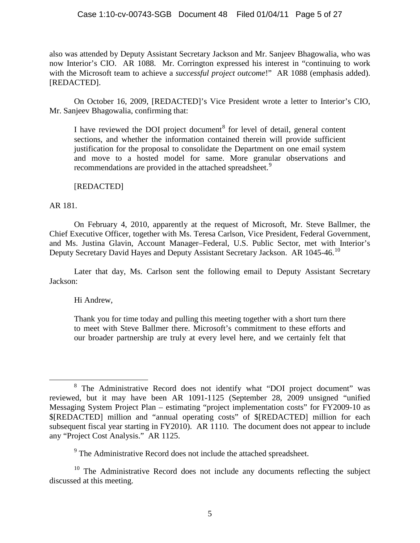also was attended by Deputy Assistant Secretary Jackson and Mr. Sanjeev Bhagowalia, who was now Interior's CIO. AR 1088. Mr. Corrington expressed his interest in "continuing to work with the Microsoft team to achieve a *successful project outcome*!" AR 1088 (emphasis added). [REDACTED].

On October 16, 2009, [REDACTED]'s Vice President wrote a letter to Interior's CIO, Mr. Sanjeev Bhagowalia, confirming that:

I have reviewed the DOI project document<sup>[8](#page-4-0)</sup> for level of detail, general content sections, and whether the information contained therein will provide sufficient justification for the proposal to consolidate the Department on one email system and move to a hosted model for same. More granular observations and recommendations are provided in the attached spreadsheet.<sup>[9](#page-4-1)</sup>

[REDACTED]

AR 181.

On February 4, 2010, apparently at the request of Microsoft, Mr. Steve Ballmer, the Chief Executive Officer, together with Ms. Teresa Carlson, Vice President, Federal Government, and Ms. Justina Glavin, Account Manager–Federal, U.S. Public Sector, met with Interior's Deputy Secretary David Hayes and Deputy Assistant Secretary Jackson. AR [10](#page-4-2)45-46.<sup>10</sup>

Later that day, Ms. Carlson sent the following email to Deputy Assistant Secretary Jackson:

Hi Andrew,

Thank you for time today and pulling this meeting together with a short turn there to meet with Steve Ballmer there. Microsoft's commitment to these efforts and our broader partnership are truly at every level here, and we certainly felt that

<sup>9</sup> The Administrative Record does not include the attached spreadsheet.

<span id="page-4-2"></span><span id="page-4-1"></span> $10$  The Administrative Record does not include any documents reflecting the subject discussed at this meeting.

<span id="page-4-0"></span> <sup>8</sup> The Administrative Record does not identify what "DOI project document" was reviewed, but it may have been AR 1091-1125 (September 28, 2009 unsigned "unified Messaging System Project Plan – estimating "project implementation costs" for FY2009-10 as \$[REDACTED] million and "annual operating costs" of \$[REDACTED] million for each subsequent fiscal year starting in FY2010). AR 1110. The document does not appear to include any "Project Cost Analysis." AR 1125.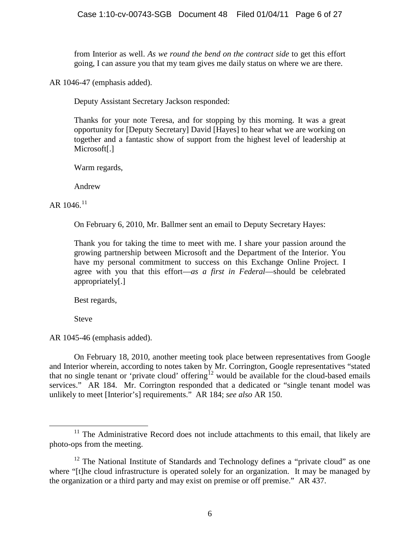from Interior as well. *As we round the bend on the contract side* to get this effort going, I can assure you that my team gives me daily status on where we are there.

AR 1046-47 (emphasis added).

Deputy Assistant Secretary Jackson responded:

Thanks for your note Teresa, and for stopping by this morning. It was a great opportunity for [Deputy Secretary] David [Hayes] to hear what we are working on together and a fantastic show of support from the highest level of leadership at Microsoft[.]

Warm regards,

Andrew

 $AR$  1046.<sup>[11](#page-5-0)</sup>

On February 6, 2010, Mr. Ballmer sent an email to Deputy Secretary Hayes:

Thank you for taking the time to meet with me. I share your passion around the growing partnership between Microsoft and the Department of the Interior. You have my personal commitment to success on this Exchange Online Project. I agree with you that this effort—*as a first in Federal*—should be celebrated appropriately[.]

Best regards,

Steve

AR 1045-46 (emphasis added).

On February 18, 2010, another meeting took place between representatives from Google and Interior wherein, according to notes taken by Mr. Corrington, Google representatives "stated that no single tenant or 'private cloud' offering<sup>[12](#page-5-1)</sup> would be available for the cloud-based emails services." AR 184. Mr. Corrington responded that a dedicated or "single tenant model was unlikely to meet [Interior's] requirements." AR 184; *see also* AR 150.

<span id="page-5-0"></span> $11$  The Administrative Record does not include attachments to this email, that likely are photo-ops from the meeting.

<span id="page-5-1"></span> $12$  The National Institute of Standards and Technology defines a "private cloud" as one where "[t]he cloud infrastructure is operated solely for an organization. It may be managed by the organization or a third party and may exist on premise or off premise." AR 437.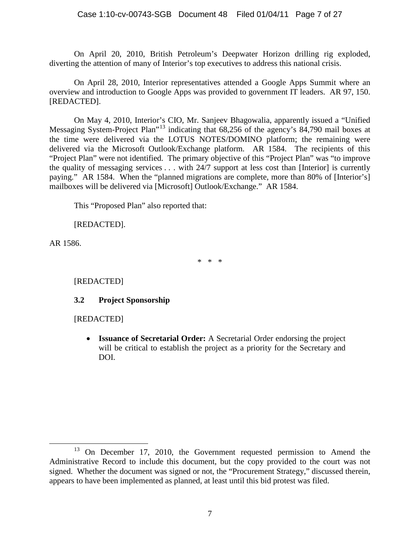On April 20, 2010, British Petroleum's Deepwater Horizon drilling rig exploded, diverting the attention of many of Interior's top executives to address this national crisis.

On April 28, 2010, Interior representatives attended a Google Apps Summit where an overview and introduction to Google Apps was provided to government IT leaders. AR 97, 150. [REDACTED].

On May 4, 2010, Interior's CIO, Mr. Sanjeev Bhagowalia, apparently issued a "Unified Messaging System-Project Plan<sup>"[13](#page-6-0)</sup> indicating that 68,256 of the agency's 84,790 mail boxes at the time were delivered via the LOTUS NOTES/DOMINO platform; the remaining were delivered via the Microsoft Outlook/Exchange platform. AR 1584. The recipients of this "Project Plan" were not identified. The primary objective of this "Project Plan" was "to improve the quality of messaging services . . . with 24/7 support at less cost than [Interior] is currently paying." AR 1584. When the "planned migrations are complete, more than 80% of [Interior's] mailboxes will be delivered via [Microsoft] Outlook/Exchange." AR 1584.

This "Proposed Plan" also reported that:

[REDACTED].

AR 1586.

\* \* \*

[REDACTED]

## **3.2 Project Sponsorship**

[REDACTED]

• **Issuance of Secretarial Order:** A Secretarial Order endorsing the project will be critical to establish the project as a priority for the Secretary and DOI.

<span id="page-6-0"></span> $13$  On December 17, 2010, the Government requested permission to Amend the Administrative Record to include this document, but the copy provided to the court was not signed. Whether the document was signed or not, the "Procurement Strategy," discussed therein, appears to have been implemented as planned, at least until this bid protest was filed.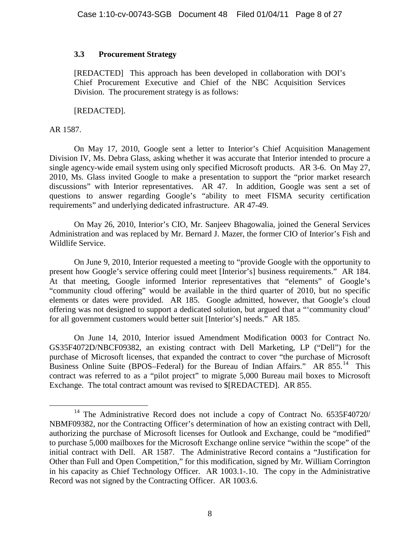## **3.3 Procurement Strategy**

[REDACTED] This approach has been developed in collaboration with DOI's Chief Procurement Executive and Chief of the NBC Acquisition Services Division. The procurement strategy is as follows:

[REDACTED].

## AR 1587.

On May 17, 2010, Google sent a letter to Interior's Chief Acquisition Management Division IV, Ms. Debra Glass, asking whether it was accurate that Interior intended to procure a single agency-wide email system using only specified Microsoft products. AR 3-6. On May 27, 2010, Ms. Glass invited Google to make a presentation to support the "prior market research discussions" with Interior representatives. AR 47. In addition, Google was sent a set of questions to answer regarding Google's "ability to meet FISMA security certification requirements" and underlying dedicated infrastructure. AR 47-49.

On May 26, 2010, Interior's CIO, Mr. Sanjeev Bhagowalia, joined the General Services Administration and was replaced by Mr. Bernard J. Mazer, the former CIO of Interior's Fish and Wildlife Service.

On June 9, 2010, Interior requested a meeting to "provide Google with the opportunity to present how Google's service offering could meet [Interior's] business requirements." AR 184. At that meeting, Google informed Interior representatives that "elements" of Google's "community cloud offering" would be available in the third quarter of 2010, but no specific elements or dates were provided. AR 185. Google admitted, however, that Google's cloud offering was not designed to support a dedicated solution, but argued that a "'community cloud' for all government customers would better suit [Interior's] needs." AR 185.

On June 14, 2010, Interior issued Amendment Modification 0003 for Contract No. GS35F4072D/NBCF09382, an existing contract with Dell Marketing, LP ("Dell") for the purchase of Microsoft licenses, that expanded the contract to cover "the purchase of Microsoft Business Online Suite (BPOS–Federal) for the Bureau of Indian Affairs." AR  $855.^{14}$  $855.^{14}$  $855.^{14}$  This contract was referred to as a "pilot project" to migrate 5,000 Bureau mail boxes to Microsoft Exchange. The total contract amount was revised to \$[REDACTED]. AR 855.

<span id="page-7-0"></span><sup>&</sup>lt;sup>14</sup> The Administrative Record does not include a copy of Contract No. 6535F40720/ NBMF09382, nor the Contracting Officer's determination of how an existing contract with Dell, authorizing the purchase of Microsoft licenses for Outlook and Exchange, could be "modified" to purchase 5,000 mailboxes for the Microsoft Exchange online service "within the scope" of the initial contract with Dell. AR 1587. The Administrative Record contains a "Justification for Other than Full and Open Competition," for this modification, signed by Mr. William Corrington in his capacity as Chief Technology Officer. AR 1003.1-.10. The copy in the Administrative Record was not signed by the Contracting Officer. AR 1003.6.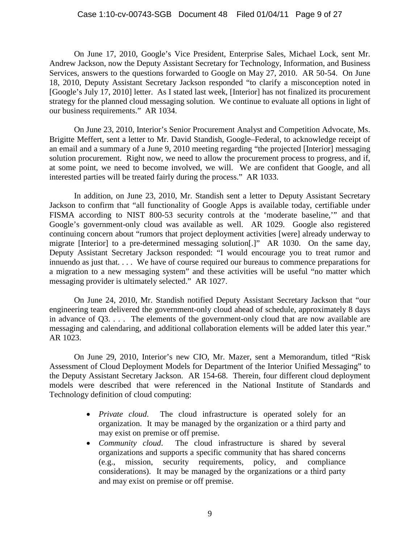On June 17, 2010, Google's Vice President, Enterprise Sales, Michael Lock, sent Mr. Andrew Jackson, now the Deputy Assistant Secretary for Technology, Information, and Business Services, answers to the questions forwarded to Google on May 27, 2010. AR 50-54. On June 18, 2010, Deputy Assistant Secretary Jackson responded "to clarify a misconception noted in [Google's July 17, 2010] letter. As I stated last week, [Interior] has not finalized its procurement strategy for the planned cloud messaging solution. We continue to evaluate all options in light of our business requirements." AR 1034.

On June 23, 2010, Interior's Senior Procurement Analyst and Competition Advocate, Ms. Brigitte Meffert, sent a letter to Mr. David Standish, Google–Federal, to acknowledge receipt of an email and a summary of a June 9, 2010 meeting regarding "the projected [Interior] messaging solution procurement. Right now, we need to allow the procurement process to progress, and if, at some point, we need to become involved, we will. We are confident that Google, and all interested parties will be treated fairly during the process." AR 1033.

In addition, on June 23, 2010, Mr. Standish sent a letter to Deputy Assistant Secretary Jackson to confirm that "all functionality of Google Apps is available today, certifiable under FISMA according to NIST 800-53 security controls at the 'moderate baseline,'" and that Google's government-only cloud was available as well. AR 1029. Google also registered continuing concern about "rumors that project deployment activities [were] already underway to migrate [Interior] to a pre-determined messaging solution[.]" AR 1030. On the same day, Deputy Assistant Secretary Jackson responded: "I would encourage you to treat rumor and innuendo as just that. . . . We have of course required our bureaus to commence preparations for a migration to a new messaging system" and these activities will be useful "no matter which messaging provider is ultimately selected." AR 1027.

On June 24, 2010, Mr. Standish notified Deputy Assistant Secretary Jackson that "our engineering team delivered the government-only cloud ahead of schedule, approximately 8 days in advance of Q3. . . . The elements of the government-only cloud that are now available are messaging and calendaring, and additional collaboration elements will be added later this year." AR 1023.

On June 29, 2010, Interior's new CIO, Mr. Mazer, sent a Memorandum, titled "Risk Assessment of Cloud Deployment Models for Department of the Interior Unified Messaging" to the Deputy Assistant Secretary Jackson. AR 154-68. Therein, four different cloud deployment models were described that were referenced in the National Institute of Standards and Technology definition of cloud computing:

- *Private cloud*. The cloud infrastructure is operated solely for an organization. It may be managed by the organization or a third party and may exist on premise or off premise.
- *Community cloud*. The cloud infrastructure is shared by several organizations and supports a specific community that has shared concerns (e.g., mission, security requirements, policy, and compliance considerations). It may be managed by the organizations or a third party and may exist on premise or off premise.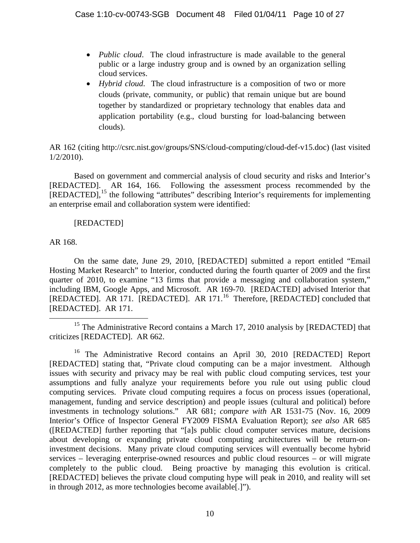- *Public cloud*. The cloud infrastructure is made available to the general public or a large industry group and is owned by an organization selling cloud services.
- *Hybrid cloud*. The cloud infrastructure is a composition of two or more clouds (private, community, or public) that remain unique but are bound together by standardized or proprietary technology that enables data and application portability (e.g., cloud bursting for load-balancing between clouds).

AR 162 (citing http://csrc.nist.gov/groups/SNS/cloud-computing/cloud-def-v15.doc) (last visited 1/2/2010).

Based on government and commercial analysis of cloud security and risks and Interior's [REDACTED]. AR 164, 166. Following the assessment process recommended by the [REDACTED],<sup>[15](#page-9-0)</sup> the following "attributes" describing Interior's requirements for implementing an enterprise email and collaboration system were identified:

# [REDACTED]

## AR 168.

On the same date, June 29, 2010, [REDACTED] submitted a report entitled "Email Hosting Market Research" to Interior, conducted during the fourth quarter of 2009 and the first quarter of 2010, to examine "13 firms that provide a messaging and collaboration system," including IBM, Google Apps, and Microsoft. AR 169-70. [REDACTED] advised Interior that [REDACTED]. AR 171. [REDACTED]. AR 171.<sup>[16](#page-9-1)</sup> Therefore, [REDACTED] concluded that [REDACTED]. AR 171.

<span id="page-9-0"></span><sup>&</sup>lt;sup>15</sup> The Administrative Record contains a March 17, 2010 analysis by [REDACTED] that criticizes [REDACTED]. AR 662.

<span id="page-9-1"></span><sup>&</sup>lt;sup>16</sup> The Administrative Record contains an April 30, 2010 [REDACTED] Report [REDACTED] stating that, "Private cloud computing can be a major investment. Although issues with security and privacy may be real with public cloud computing services, test your assumptions and fully analyze your requirements before you rule out using public cloud computing services. Private cloud computing requires a focus on process issues (operational, management, funding and service description) and people issues (cultural and political) before investments in technology solutions." AR 681; *compare with* AR 1531-75 (Nov. 16, 2009 Interior's Office of Inspector General FY2009 FISMA Evaluation Report); *see also* AR 685 ([REDACTED] further reporting that "[a]s public cloud computer services mature, decisions about developing or expanding private cloud computing architectures will be return-oninvestment decisions. Many private cloud computing services will eventually become hybrid services – leveraging enterprise-owned resources and public cloud resources – or will migrate completely to the public cloud. Being proactive by managing this evolution is critical. [REDACTED] believes the private cloud computing hype will peak in 2010, and reality will set in through 2012, as more technologies become available[.]").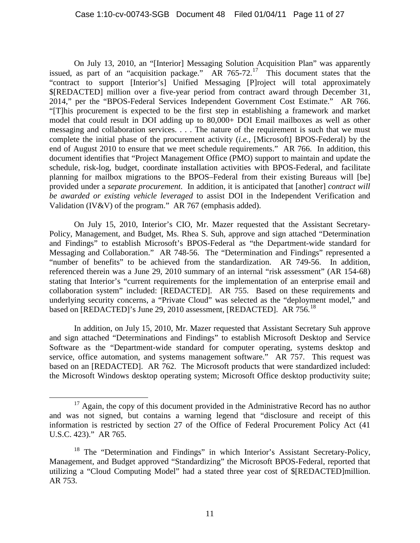On July 13, 2010, an "[Interior] Messaging Solution Acquisition Plan" was apparently issued, as part of an "acquisition package." AR 765-72.<sup>[17](#page-10-0)</sup> This document states that the "contract to support [Interior's] Unified Messaging [P]roject will total approximately \$[REDACTED] million over a five-year period from contract award through December 31, 2014," per the "BPOS-Federal Services Independent Government Cost Estimate." AR 766. "[T]his procurement is expected to be the first step in establishing a framework and market model that could result in DOI adding up to 80,000+ DOI Email mailboxes as well as other messaging and collaboration services. . . . The nature of the requirement is such that we must complete the initial phase of the procurement activity (*i.e.,* [Microsoft] BPOS-Federal) by the end of August 2010 to ensure that we meet schedule requirements." AR 766. In addition, this document identifies that "Project Management Office (PMO) support to maintain and update the schedule, risk-log, budget, coordinate installation activities with BPOS-Federal, and facilitate planning for mailbox migrations to the BPOS–Federal from their existing Bureaus will [be] provided under a *separate procurement*. In addition, it is anticipated that [another] *contract will be awarded or existing vehicle leveraged* to assist DOI in the Independent Verification and Validation (IV&V) of the program." AR 767 (emphasis added).

On July 15, 2010, Interior's CIO, Mr. Mazer requested that the Assistant Secretary-Policy, Management, and Budget, Ms. Rhea S. Suh, approve and sign attached "Determination and Findings" to establish Microsoft's BPOS-Federal as "the Department-wide standard for Messaging and Collaboration." AR 748-56. The "Determination and Findings" represented a "number of benefits" to be achieved from the standardization. AR 749-56. In addition, referenced therein was a June 29, 2010 summary of an internal "risk assessment" (AR 154-68) stating that Interior's "current requirements for the implementation of an enterprise email and collaboration system" included: [REDACTED]. AR 755. Based on these requirements and underlying security concerns, a "Private Cloud" was selected as the "deployment model," and based on [REDACTED]'s June 29, 2010 assessment, [REDACTED]. AR 756.<sup>[18](#page-10-1)</sup>

In addition, on July 15, 2010, Mr. Mazer requested that Assistant Secretary Suh approve and sign attached "Determinations and Findings" to establish Microsoft Desktop and Service Software as the "Department-wide standard for computer operating, systems desktop and service, office automation, and systems management software." AR 757. This request was based on an [REDACTED]. AR 762. The Microsoft products that were standardized included: the Microsoft Windows desktop operating system; Microsoft Office desktop productivity suite;

<span id="page-10-0"></span><sup>&</sup>lt;sup>17</sup> Again, the copy of this document provided in the Administrative Record has no author and was not signed, but contains a warning legend that "disclosure and receipt of this information is restricted by section 27 of the Office of Federal Procurement Policy Act (41 U.S.C. 423)." AR 765.

<span id="page-10-1"></span><sup>&</sup>lt;sup>18</sup> The "Determination and Findings" in which Interior's Assistant Secretary-Policy, Management, and Budget approved "Standardizing" the Microsoft BPOS-Federal, reported that utilizing a "Cloud Computing Model" had a stated three year cost of \$[REDACTED]million. AR 753.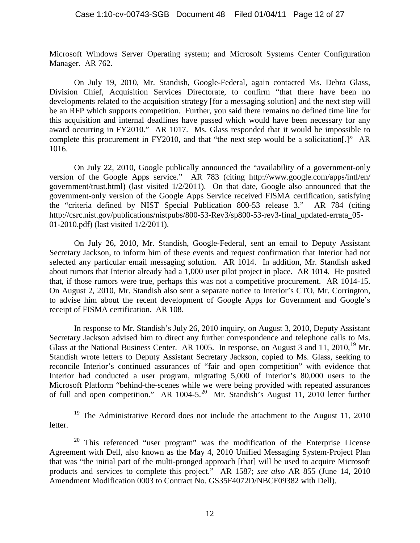Microsoft Windows Server Operating system; and Microsoft Systems Center Configuration Manager. AR 762.

On July 19, 2010, Mr. Standish, Google-Federal, again contacted Ms. Debra Glass, Division Chief, Acquisition Services Directorate, to confirm "that there have been no developments related to the acquisition strategy [for a messaging solution] and the next step will be an RFP which supports competition. Further, you said there remains no defined time line for this acquisition and internal deadlines have passed which would have been necessary for any award occurring in FY2010." AR 1017. Ms. Glass responded that it would be impossible to complete this procurement in FY2010, and that "the next step would be a solicitation[.]" AR 1016.

On July 22, 2010, Google publically announced the "availability of a government-only version of the Google Apps service." AR 783 (citing [http://www.google.com/apps/intl/en/](http://www.google.com/apps/intel/en/) government/trust.html) (last visited 1/2/2011).On that date, Google also announced that the government-only version of the Google Apps Service received FISMA certification, satisfying the "criteria defined by NIST Special Publication 800-53 release 3." AR 784 (citing http://csrc.nist.gov/publications/nistpubs/800-53-Rev3/sp800-53-rev3-final\_updated-errata\_05- 01-2010.pdf) (last visited 1/2/2011).

On July 26, 2010, Mr. Standish, Google-Federal, sent an email to Deputy Assistant Secretary Jackson, to inform him of these events and request confirmation that Interior had not selected any particular email messaging solution. AR 1014. In addition, Mr. Standish asked about rumors that Interior already had a 1,000 user pilot project in place. AR 1014. He posited that, if those rumors were true, perhaps this was not a competitive procurement. AR 1014-15. On August 2, 2010, Mr. Standish also sent a separate notice to Interior's CTO, Mr. Corrington, to advise him about the recent development of Google Apps for Government and Google's receipt of FISMA certification. AR 108.

In response to Mr. Standish's July 26, 2010 inquiry, on August 3, 2010, Deputy Assistant Secretary Jackson advised him to direct any further correspondence and telephone calls to Ms. Glass at the National Business Center. AR 1005. In response, on August 3 and 11, 2010, <sup>[19](#page-11-0)</sup> Mr. Standish wrote letters to Deputy Assistant Secretary Jackson, copied to Ms. Glass, seeking to reconcile Interior's continued assurances of "fair and open competition" with evidence that Interior had conducted a user program, migrating 5,000 of Interior's 80,000 users to the Microsoft Platform "behind-the-scenes while we were being provided with repeated assurances of full and open competition." AR 1004-5.<sup>[20](#page-11-1)</sup> Mr. Standish's August 11, 2010 letter further

<span id="page-11-0"></span><sup>&</sup>lt;sup>19</sup> The Administrative Record does not include the attachment to the August 11, 2010 letter.

<span id="page-11-1"></span><sup>&</sup>lt;sup>20</sup> This referenced "user program" was the modification of the Enterprise License Agreement with Dell, also known as the May 4, 2010 Unified Messaging System-Project Plan that was "the initial part of the multi-pronged approach [that] will be used to acquire Microsoft products and services to complete this project." AR 1587; *see also* AR 855 (June 14, 2010 Amendment Modification 0003 to Contract No. GS35F4072D/NBCF09382 with Dell).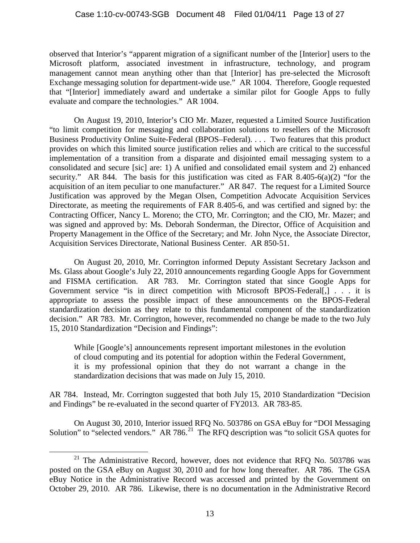observed that Interior's "apparent migration of a significant number of the [Interior] users to the Microsoft platform, associated investment in infrastructure, technology, and program management cannot mean anything other than that [Interior] has pre-selected the Microsoft Exchange messaging solution for department-wide use." AR 1004. Therefore, Google requested that "[Interior] immediately award and undertake a similar pilot for Google Apps to fully evaluate and compare the technologies." AR 1004.

On August 19, 2010, Interior's CIO Mr. Mazer, requested a Limited Source Justification "to limit competition for messaging and collaboration solutions to resellers of the Microsoft Business Productivity Online Suite-Federal (BPOS–Federal). . . . Two features that this product provides on which this limited source justification relies and which are critical to the successful implementation of a transition from a disparate and disjointed email messaging system to a consolidated and secure [sic] are: 1) A unified and consolidated email system and 2) enhanced security." AR 844. The basis for this justification was cited as FAR 8.405-6(a)(2) "for the acquisition of an item peculiar to one manufacturer." AR 847. The request for a Limited Source Justification was approved by the Megan Olsen, Competition Advocate Acquisition Services Directorate, as meeting the requirements of FAR 8.405-6, and was certified and signed by: the Contracting Officer, Nancy L. Moreno; the CTO, Mr. Corrington; and the CIO, Mr. Mazer; and was signed and approved by: Ms. Deborah Sonderman, the Director, Office of Acquisition and Property Management in the Office of the Secretary; and Mr. John Nyce, the Associate Director, Acquisition Services Directorate, National Business Center. AR 850-51.

On August 20, 2010, Mr. Corrington informed Deputy Assistant Secretary Jackson and Ms. Glass about Google's July 22, 2010 announcements regarding Google Apps for Government and FISMA certification. AR 783. Mr. Corrington stated that since Google Apps for Government service "is in direct competition with Microsoft BPOS-Federal[,] . . . it is appropriate to assess the possible impact of these announcements on the BPOS-Federal standardization decision as they relate to this fundamental component of the standardization decision." AR 783. Mr. Corrington, however, recommended no change be made to the two July 15, 2010 Standardization "Decision and Findings":

While [Google's] announcements represent important milestones in the evolution of cloud computing and its potential for adoption within the Federal Government, it is my professional opinion that they do not warrant a change in the standardization decisions that was made on July 15, 2010.

AR 784. Instead, Mr. Corrington suggested that both July 15, 2010 Standardization "Decision and Findings" be re-evaluated in the second quarter of FY2013. AR 783-85.

On August 30, 2010, Interior issued RFQ No. 503786 on GSA eBuy for "DOI Messaging Solution" to "selected vendors." AR 786.<sup>[21](#page-12-0)</sup> The RFQ description was "to solicit GSA quotes for

<span id="page-12-0"></span> $21$  The Administrative Record, however, does not evidence that RFQ No. 503786 was posted on the GSA eBuy on August 30, 2010 and for how long thereafter. AR 786. The GSA eBuy Notice in the Administrative Record was accessed and printed by the Government on October 29, 2010. AR 786. Likewise, there is no documentation in the Administrative Record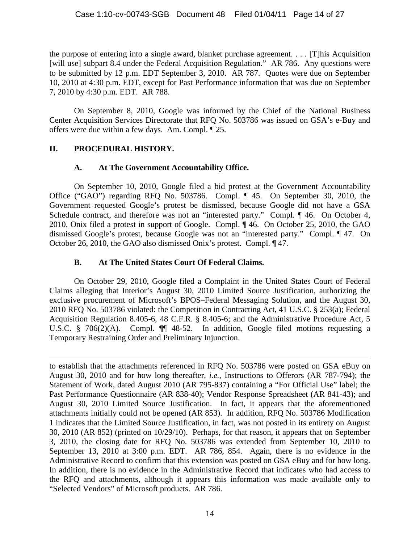the purpose of entering into a single award, blanket purchase agreement. . . . [T]his Acquisition [will use] subpart 8.4 under the Federal Acquisition Regulation." AR 786. Any questions were to be submitted by 12 p.m. EDT September 3, 2010. AR 787. Quotes were due on September 10, 2010 at 4:30 p.m. EDT, except for Past Performance information that was due on September 7, 2010 by 4:30 p.m. EDT. AR 788.

On September 8, 2010, Google was informed by the Chief of the National Business Center Acquisition Services Directorate that RFQ No. 503786 was issued on GSA's e-Buy and offers were due within a few days. Am. Compl. ¶ 25.

# **II. PROCEDURAL HISTORY.**

 $\overline{a}$ 

# **A. At The Government Accountability Office.**

On September 10, 2010, Google filed a bid protest at the Government Accountability Office ("GAO") regarding RFQ No. 503786. Compl. ¶ 45. On September 30, 2010, the Government requested Google's protest be dismissed, because Google did not have a GSA Schedule contract, and therefore was not an "interested party." Compl.  $\P$  46. On October 4, 2010, Onix filed a protest in support of Google. Compl. ¶ 46. On October 25, 2010, the GAO dismissed Google's protest, because Google was not an "interested party." Compl. ¶ 47. On October 26, 2010, the GAO also dismissed Onix's protest. Compl. ¶ 47.

# **B. At The United States Court Of Federal Claims.**

On October 29, 2010, Google filed a Complaint in the United States Court of Federal Claims alleging that Interior's August 30, 2010 Limited Source Justification, authorizing the exclusive procurement of Microsoft's BPOS–Federal Messaging Solution, and the August 30, 2010 RFQ No. 503786 violated: the Competition in Contracting Act, 41 U.S.C. § 253(a); Federal Acquisition Regulation 8.405-6, 48 C.F.R. § 8.405-6; and the Administrative Procedure Act, 5 U.S.C. § 706(2)(A). Compl. ¶¶ 48-52. In addition, Google filed motions requesting a Temporary Restraining Order and Preliminary Injunction.

to establish that the attachments referenced in RFQ No. 503786 were posted on GSA eBuy on August 30, 2010 and for how long thereafter, *i.e.*, Instructions to Offerors (AR 787-794); the Statement of Work, dated August 2010 (AR 795-837) containing a "For Official Use" label; the Past Performance Questionnaire (AR 838-40); Vendor Response Spreadsheet (AR 841-43); and August 30, 2010 Limited Source Justification. In fact, it appears that the aforementioned attachments initially could not be opened (AR 853). In addition, RFQ No. 503786 Modification 1 indicates that the Limited Source Justification, in fact, was not posted in its entirety on August 30, 2010 (AR 852) (printed on 10/29/10). Perhaps, for that reason, it appears that on September 3, 2010, the closing date for RFQ No. 503786 was extended from September 10, 2010 to September 13, 2010 at 3:00 p.m. EDT. AR 786, 854. Again, there is no evidence in the Administrative Record to confirm that this extension was posted on GSA eBuy and for how long. In addition, there is no evidence in the Administrative Record that indicates who had access to the RFQ and attachments, although it appears this information was made available only to "Selected Vendors" of Microsoft products. AR 786.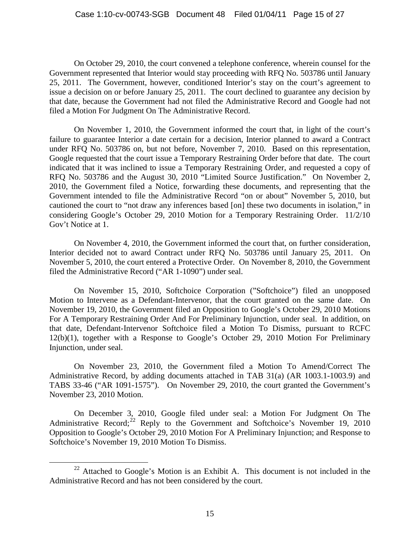On October 29, 2010, the court convened a telephone conference, wherein counsel for the Government represented that Interior would stay proceeding with RFQ No. 503786 until January 25, 2011. The Government, however, conditioned Interior's stay on the court's agreement to issue a decision on or before January 25, 2011. The court declined to guarantee any decision by that date, because the Government had not filed the Administrative Record and Google had not filed a Motion For Judgment On The Administrative Record.

On November 1, 2010, the Government informed the court that, in light of the court's failure to guarantee Interior a date certain for a decision, Interior planned to award a Contract under RFQ No. 503786 on, but not before, November 7, 2010. Based on this representation, Google requested that the court issue a Temporary Restraining Order before that date. The court indicated that it was inclined to issue a Temporary Restraining Order, and requested a copy of RFQ No. 503786 and the August 30, 2010 "Limited Source Justification." On November 2, 2010, the Government filed a Notice, forwarding these documents, and representing that the Government intended to file the Administrative Record "on or about" November 5, 2010, but cautioned the court to "not draw any inferences based [on] these two documents in isolation," in considering Google's October 29, 2010 Motion for a Temporary Restraining Order. 11/2/10 Gov't Notice at 1.

On November 4, 2010, the Government informed the court that, on further consideration, Interior decided not to award Contract under RFQ No. 503786 until January 25, 2011. On November 5, 2010, the court entered a Protective Order. On November 8, 2010, the Government filed the Administrative Record ("AR 1-1090") under seal.

On November 15, 2010, Softchoice Corporation ("Softchoice") filed an unopposed Motion to Intervene as a Defendant-Intervenor, that the court granted on the same date. On November 19, 2010, the Government filed an Opposition to Google's October 29, 2010 Motions For A Temporary Restraining Order And For Preliminary Injunction, under seal. In addition, on that date, Defendant-Intervenor Softchoice filed a Motion To Dismiss, pursuant to RCFC 12(b)(1), together with a Response to Google's October 29, 2010 Motion For Preliminary Injunction, under seal.

On November 23, 2010, the Government filed a Motion To Amend/Correct The Administrative Record, by adding documents attached in TAB 31(a) (AR 1003.1-1003.9) and TABS 33-46 ("AR 1091-1575"). On November 29, 2010, the court granted the Government's November 23, 2010 Motion.

On December 3, 2010, Google filed under seal: a Motion For Judgment On The Administrative Record:<sup>[22](#page-14-0)</sup> Reply to the Government and Softchoice's November 19, 2010 Opposition to Google's October 29, 2010 Motion For A Preliminary Injunction; and Response to Softchoice's November 19, 2010 Motion To Dismiss.

<span id="page-14-0"></span><sup>&</sup>lt;sup>22</sup> Attached to Google's Motion is an Exhibit A. This document is not included in the Administrative Record and has not been considered by the court.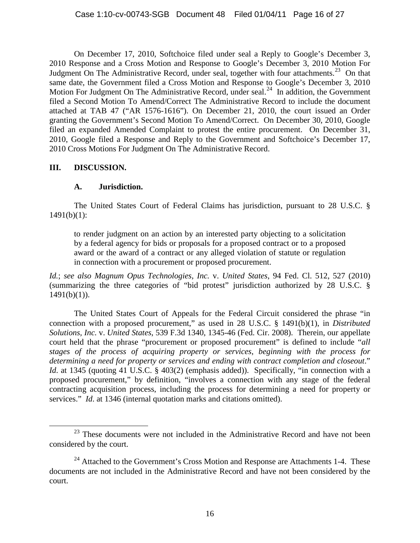On December 17, 2010, Softchoice filed under seal a Reply to Google's December 3, 2010 Response and a Cross Motion and Response to Google's December 3, 2010 Motion For Judgment On The Administrative Record, under seal, together with four attachments.<sup>23</sup> On that same date, the Government filed a Cross Motion and Response to Google's December 3, 2010 Motion For Judgment On The Administrative Record, under seal.<sup>[24](#page-15-1)</sup> In addition, the Government filed a Second Motion To Amend/Correct The Administrative Record to include the document attached at TAB 47 ("AR 1576-1616"). On December 21, 2010, the court issued an Order granting the Government's Second Motion To Amend/Correct. On December 30, 2010, Google filed an expanded Amended Complaint to protest the entire procurement. On December 31, 2010, Google filed a Response and Reply to the Government and Softchoice's December 17, 2010 Cross Motions For Judgment On The Administrative Record.

# **III. DISCUSSION.**

# **A. Jurisdiction.**

The United States Court of Federal Claims has jurisdiction, pursuant to 28 U.S.C. §  $1491(b)(1)$ :

to render judgment on an action by an interested party objecting to a solicitation by a federal agency for bids or proposals for a proposed contract or to a proposed award or the award of a contract or any alleged violation of statute or regulation in connection with a procurement or proposed procurement.

*Id.*; *see also Magnum Opus Technologies, Inc.* v. *United States*, 94 Fed. Cl. 512, 527 (2010) (summarizing the three categories of "bid protest" jurisdiction authorized by 28 U.S.C. §  $1491(b)(1)$ ).

The United States Court of Appeals for the Federal Circuit considered the phrase "in connection with a proposed procurement," as used in 28 U.S.C. § 1491(b)(1), in *Distributed Solutions, Inc.* v. *United States*, 539 F.3d 1340, 1345-46 (Fed. Cir. 2008). Therein, our appellate court held that the phrase "procurement or proposed procurement" is defined to include "*all stages of the process of acquiring property or services*, *beginning with the process for determining a need for property or services and ending with contract completion and closeout*." *Id.* at 1345 (quoting 41 U.S.C. § 403(2) (emphasis added)). Specifically, "in connection with a proposed procurement," by definition, "involves a connection with any stage of the federal contracting acquisition process, including the process for determining a need for property or services." *Id.* at 1346 (internal quotation marks and citations omitted).

<span id="page-15-0"></span> $23$  These documents were not included in the Administrative Record and have not been considered by the court.

<span id="page-15-1"></span><sup>&</sup>lt;sup>24</sup> Attached to the Government's Cross Motion and Response are Attachments 1-4. These documents are not included in the Administrative Record and have not been considered by the court.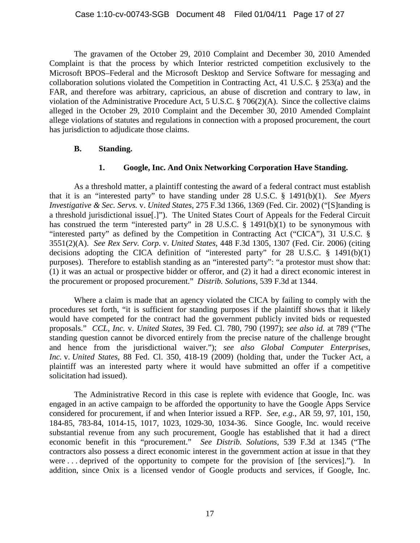The gravamen of the October 29, 2010 Complaint and December 30, 2010 Amended Complaint is that the process by which Interior restricted competition exclusively to the Microsoft BPOS–Federal and the Microsoft Desktop and Service Software for messaging and collaboration solutions violated the Competition in Contracting Act, 41 U.S.C. § 253(a) and the FAR, and therefore was arbitrary, capricious, an abuse of discretion and contrary to law, in violation of the Administrative Procedure Act, 5 U.S.C. § 706(2)(A). Since the collective claims alleged in the October 29, 2010 Complaint and the December 30, 2010 Amended Complaint allege violations of statutes and regulations in connection with a proposed procurement, the court has jurisdiction to adjudicate those claims.

## **B. Standing.**

## **1. Google, Inc. And Onix Networking Corporation Have Standing.**

As a threshold matter, a plaintiff contesting the award of a federal contract must establish that it is an "interested party" to have standing under 28 U.S.C. § 1491(b)(1). *See Myers Investigative & Sec. Servs.* v. *United States*, 275 F.3d 1366, 1369 (Fed. Cir. 2002) ("[S]tanding is a threshold jurisdictional issue[.]"). The United States Court of Appeals for the Federal Circuit has construed the term "interested party" in 28 U.S.C. § 1491(b)(1) to be synonymous with "interested party" as defined by the Competition in Contracting Act ("CICA"), 31 U.S.C. § 3551(2)(A). *See Rex Serv. Corp*. v. *United States*, 448 F.3d 1305, 1307 (Fed. Cir. 2006) (citing decisions adopting the CICA definition of "interested party" for 28 U.S.C. § 1491(b)(1) purposes). Therefore to establish standing as an "interested party": "a protestor must show that: (1) it was an actual or prospective bidder or offeror, and (2) it had a direct economic interest in the procurement or proposed procurement." *Distrib. Solutions*, 539 F.3d at 1344.

Where a claim is made that an agency violated the CICA by failing to comply with the procedures set forth, "it is sufficient for standing purposes if the plaintiff shows that it likely would have competed for the contract had the government publicly invited bids or requested proposals." *CCL, Inc.* v. *United States*, 39 Fed. Cl. 780, 790 (1997); *see also id.* at 789 ("The standing question cannot be divorced entirely from the precise nature of the challenge brought and hence from the jurisdictional waiver."); *see also Global Computer Enterprises, Inc.* v. *United States*, 88 Fed. Cl. 350, 418-19 (2009) (holding that, under the Tucker Act, a plaintiff was an interested party where it would have submitted an offer if a competitive solicitation had issued).

The Administrative Record in this case is replete with evidence that Google, Inc. was engaged in an active campaign to be afforded the opportunity to have the Google Apps Service considered for procurement, if and when Interior issued a RFP. *See, e.g.*, AR 59, 97, 101, 150, 184-85, 783-84, 1014-15, 1017, 1023, 1029-30, 1034-36. Since Google, Inc. would receive substantial revenue from any such procurement, Google has established that it had a direct economic benefit in this "procurement." *See Distrib. Solutions*, 539 F.3d at 1345 ("The contractors also possess a direct economic interest in the government action at issue in that they were . . . deprived of the opportunity to compete for the provision of [the services]."). In addition, since Onix is a licensed vendor of Google products and services, if Google, Inc.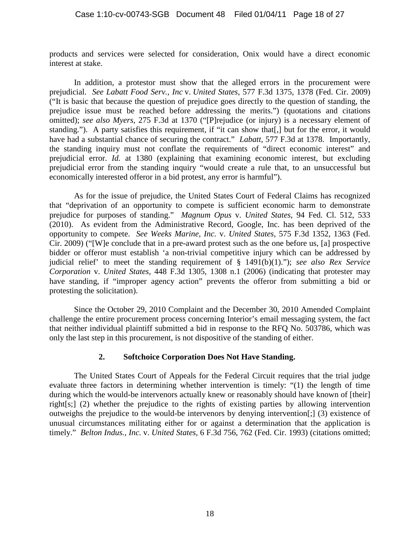products and services were selected for consideration, Onix would have a direct economic interest at stake.

In addition, a protestor must show that the alleged errors in the procurement were prejudicial. *See Labatt Food Serv., Inc* v. *United States*, 577 F.3d 1375, 1378 (Fed. Cir. 2009) ("It is basic that because the question of prejudice goes directly to the question of standing, the prejudice issue must be reached before addressing the merits.") (quotations and citations omitted); *see also Myers*, 275 F.3d at 1370 ("[P]rejudice (or injury) is a necessary element of standing."). A party satisfies this requirement, if "it can show that[,] but for the error, it would have had a substantial chance of securing the contract." *Labatt,* 577 F.3d at 1378. Importantly, the standing inquiry must not conflate the requirements of "direct economic interest" and prejudicial error. *Id.* at 1380 (explaining that examining economic interest, but excluding prejudicial error from the standing inquiry "would create a rule that, to an unsuccessful but economically interested offeror in a bid protest, any error is harmful").

As for the issue of prejudice, the United States Court of Federal Claims has recognized that "deprivation of an opportunity to compete is sufficient economic harm to demonstrate prejudice for purposes of standing." *Magnum Opus* v. *United States*, 94 Fed. Cl. 512, 533 (2010). As evident from the Administrative Record, Google, Inc. has been deprived of the opportunity to compete. *See Weeks Marine, Inc.* v. *United States*, 575 F.3d 1352, 1363 (Fed. Cir. 2009) ("[W]e conclude that in a pre-award protest such as the one before us, [a] prospective bidder or offeror must establish 'a non-trivial competitive injury which can be addressed by judicial relief' to meet the standing requirement of § 1491(b)(1)."); *see also Rex Service Corporation* v. *United States*, 448 F.3d 1305, 1308 n.1 (2006) (indicating that protester may have standing, if "improper agency action" prevents the offeror from submitting a bid or protesting the solicitation).

Since the October 29, 2010 Complaint and the December 30, 2010 Amended Complaint challenge the entire procurement process concerning Interior's email messaging system, the fact that neither individual plaintiff submitted a bid in response to the RFQ No. 503786, which was only the last step in this procurement, is not dispositive of the standing of either.

## **2. Softchoice Corporation Does Not Have Standing.**

The United States Court of Appeals for the Federal Circuit requires that the trial judge evaluate three factors in determining whether intervention is timely: "(1) the length of time during which the would-be intervenors actually knew or reasonably should have known of [their] right[s;] (2) whether the prejudice to the rights of existing parties by allowing intervention outweighs the prejudice to the would-be intervenors by denying intervention[;] (3) existence of unusual circumstances militating either for or against a determination that the application is timely." *Belton Indus., Inc.* v. *United States*, 6 F.3d 756, 762 (Fed. Cir. 1993) (citations omitted;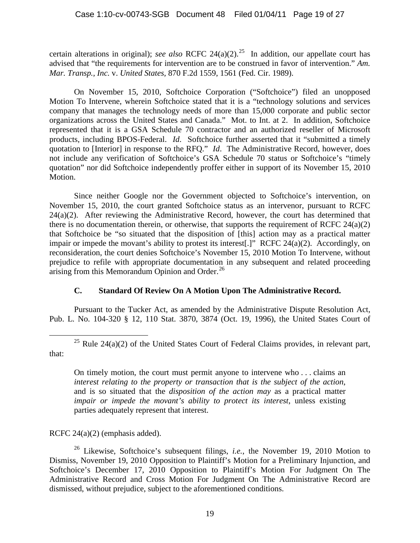certain alterations in original); *see also* RCFC 24(a)(2).<sup>25</sup> In addition, our appellate court has advised that "the requirements for intervention are to be construed in favor of intervention." *Am. Mar. Transp., Inc.* v. *United States,* 870 F.2d 1559, 1561 (Fed. Cir. 1989).

On November 15, 2010, Softchoice Corporation ("Softchoice") filed an unopposed Motion To Intervene, wherein Softchoice stated that it is a "technology solutions and services company that manages the technology needs of more than 15,000 corporate and public sector organizations across the United States and Canada." Mot. to Int. at 2. In addition, Softchoice represented that it is a GSA Schedule 70 contractor and an authorized reseller of Microsoft products, including BPOS-Federal. *Id*. Softchoice further asserted that it "submitted a timely quotation to [Interior] in response to the RFQ." *Id*. The Administrative Record, however, does not include any verification of Softchoice's GSA Schedule 70 status or Softchoice's "timely quotation" nor did Softchoice independently proffer either in support of its November 15, 2010 Motion.

Since neither Google nor the Government objected to Softchoice's intervention, on November 15, 2010, the court granted Softchoice status as an intervenor, pursuant to RCFC 24(a)(2). After reviewing the Administrative Record, however, the court has determined that there is no documentation therein, or otherwise, that supports the requirement of RCFC 24(a)(2) that Softchoice be "so situated that the disposition of [this] action may as a practical matter impair or impede the movant's ability to protest its interest[.]" RCFC 24(a)(2). Accordingly, on reconsideration, the court denies Softchoice's November 15, 2010 Motion To Intervene, without prejudice to refile with appropriate documentation in any subsequent and related proceeding arising from this Memorandum Opinion and Order.<sup>[26](#page-18-1)</sup>

# **C. Standard Of Review On A Motion Upon The Administrative Record.**

Pursuant to the Tucker Act, as amended by the Administrative Dispute Resolution Act, Pub. L. No. 104-320 § 12, 110 Stat. 3870, 3874 (Oct. 19, 1996), the United States Court of

<span id="page-18-0"></span><sup>25</sup> Rule 24(a)(2) of the United States Court of Federal Claims provides, in relevant part, that:

On timely motion, the court must permit anyone to intervene who . . . claims an *interest relating to the property or transaction that is the subject of the action*, and is so situated that the *disposition of the action may* as a practical matter *impair or impede the movant's ability to protect its interest*, unless existing parties adequately represent that interest.

RCFC 24(a)(2) (emphasis added).

<span id="page-18-1"></span><sup>26</sup> Likewise, Softchoice's subsequent filings, *i.e.*, the November 19, 2010 Motion to Dismiss, November 19, 2010 Opposition to Plaintiff's Motion for a Preliminary Injunction, and Softchoice's December 17, 2010 Opposition to Plaintiff's Motion For Judgment On The Administrative Record and Cross Motion For Judgment On The Administrative Record are dismissed, without prejudice, subject to the aforementioned conditions.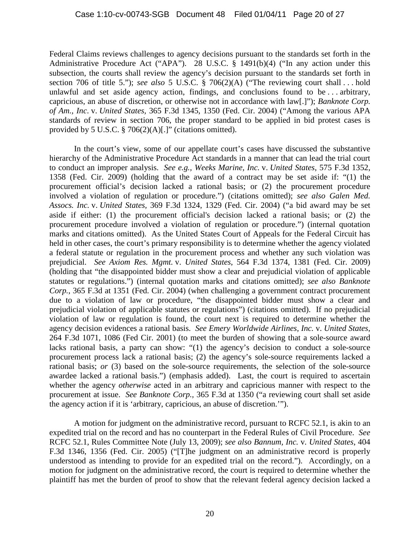Federal Claims reviews challenges to agency decisions pursuant to the standards set forth in the Administrative Procedure Act ("APA"). 28 U.S.C. § 1491(b)(4) ("In any action under this subsection, the courts shall review the agency's decision pursuant to the standards set forth in section 706 of title 5."); *see also* 5 U.S.C. § 706(2)(A) ("The reviewing court shall . . . hold unlawful and set aside agency action, findings, and conclusions found to be . . . arbitrary, capricious, an abuse of discretion, or otherwise not in accordance with law[.]"); *Banknote Corp. of Am., Inc*. v. *United States,* 365 F.3d 1345, 1350 (Fed. Cir. 2004) ("Among the various APA standards of review in section 706, the proper standard to be applied in bid protest cases is provided by 5 U.S.C. § 706(2)(A)[.]" (citations omitted).

In the court's view, some of our appellate court's cases have discussed the substantive hierarchy of the Administrative Procedure Act standards in a manner that can lead the trial court to conduct an improper analysis. *See e.g., Weeks Marine, Inc.* v. *United States*, 575 F.3d 1352, 1358 (Fed. Cir. 2009) (holding that the award of a contract may be set aside if: "(1) the procurement official's decision lacked a rational basis; or (2) the procurement procedure involved a violation of regulation or procedure.") (citations omitted); *see also Galen Med. Assocs. Inc.* v. *United States,* 369 F.3d 1324, 1329 (Fed. Cir. 2004) ("a bid award may be set aside if either: (1) the procurement official's decision lacked a rational basis; or (2) the procurement procedure involved a violation of regulation or procedure.") (internal quotation marks and citations omitted). As the United States Court of Appeals for the Federal Circuit has held in other cases, the court's primary responsibility is to determine whether the agency violated a federal statute or regulation in the procurement process and whether any such violation was prejudicial. *See Axiom Res. Mgmt.* v. *United States*, 564 F.3d 1374, 1381 (Fed. Cir. 2009) (holding that "the disappointed bidder must show a clear and prejudicial violation of applicable statutes or regulations.") (internal quotation marks and citations omitted); *see also Banknote Corp.*, 365 F.3d at 1351 (Fed. Cir. 2004) (when challenging a government contract procurement due to a violation of law or procedure, "the disappointed bidder must show a clear and prejudicial violation of applicable statutes or regulations") (citations omitted). If no prejudicial violation of law or regulation is found, the court next is required to determine whether the agency decision evidences a rational basis. *See Emery Worldwide Airlines, Inc.* v. *United States*, 264 F.3d 1071, 1086 (Fed Cir. 2001) (to meet the burden of showing that a sole-source award lacks rational basis, a party can show: "(1) the agency's decision to conduct a sole-source procurement process lack a rational basis; (2) the agency's sole-source requirements lacked a rational basis; *or* (3) based on the sole-source requirements, the selection of the sole-source awardee lacked a rational basis.") (emphasis added). Last, the court is required to ascertain whether the agency *otherwise* acted in an arbitrary and capricious manner with respect to the procurement at issue. *See Banknote Corp.,* 365 F.3d at 1350 ("a reviewing court shall set aside the agency action if it is 'arbitrary, capricious, an abuse of discretion.'").

A motion for judgment on the administrative record, pursuant to RCFC 52.1, is akin to an expedited trial on the record and has no counterpart in the Federal Rules of Civil Procedure. *See*  RCFC 52.1, Rules Committee Note (July 13, 2009); *see also Bannum, Inc.* v*. United States*, 404 F.3d 1346, 1356 (Fed. Cir. 2005) ("[T]he judgment on an administrative record is properly understood as intending to provide for an expedited trial on the record."). Accordingly, on a motion for judgment on the administrative record, the court is required to determine whether the plaintiff has met the burden of proof to show that the relevant federal agency decision lacked a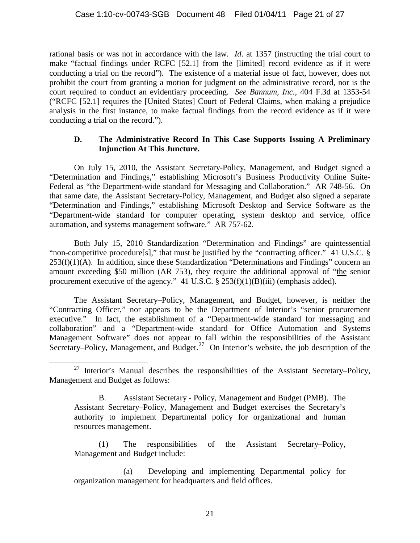rational basis or was not in accordance with the law*. Id*. at 1357 (instructing the trial court to make "factual findings under RCFC [52.1] from the [limited] record evidence as if it were conducting a trial on the record"). The existence of a material issue of fact, however, does not prohibit the court from granting a motion for judgment on the administrative record, nor is the court required to conduct an evidentiary proceeding. *See Bannum*, *Inc.*, 404 F.3d at 1353-54 ("RCFC [52.1] requires the [United States] Court of Federal Claims, when making a prejudice analysis in the first instance, to make factual findings from the record evidence as if it were conducting a trial on the record.").

## **D. The Administrative Record In This Case Supports Issuing A Preliminary Injunction At This Juncture.**

On July 15, 2010, the Assistant Secretary-Policy, Management, and Budget signed a "Determination and Findings," establishing Microsoft's Business Productivity Online Suite-Federal as "the Department-wide standard for Messaging and Collaboration." AR 748-56. On that same date, the Assistant Secretary-Policy, Management, and Budget also signed a separate "Determination and Findings," establishing Microsoft Desktop and Service Software as the "Department-wide standard for computer operating, system desktop and service, office automation, and systems management software." AR 757-62.

Both July 15, 2010 Standardization "Determination and Findings" are quintessential "non-competitive procedure[s]," that must be justified by the "contracting officer." 41 U.S.C. §  $253(f)(1)(A)$ . In addition, since these Standardization "Determinations and Findings" concern an amount exceeding \$50 million (AR 753), they require the additional approval of "the senior procurement executive of the agency." 41 U.S.C. § 253(f)(1)(B)(iii) (emphasis added).

The Assistant Secretary–Policy, Management, and Budget, however, is neither the "Contracting Officer," nor appears to be the Department of Interior's "senior procurement executive." In fact, the establishment of a "Department-wide standard for messaging and collaboration" and a "Department-wide standard for Office Automation and Systems Management Software" does not appear to fall within the responsibilities of the Assistant Secretary–Policy, Management, and Budget.<sup>[27](#page-20-0)</sup> On Interior's website, the job description of the

(1) The responsibilities of the Assistant Secretary–Policy, Management and Budget include:

<span id="page-20-0"></span> $27$  Interior's Manual describes the responsibilities of the Assistant Secretary–Policy, Management and Budget as follows:

B. Assistant Secretary - Policy, Management and Budget (PMB). The Assistant Secretary–Policy, Management and Budget exercises the Secretary's authority to implement Departmental policy for organizational and human resources management.

<sup>(</sup>a) Developing and implementing Departmental policy for organization management for headquarters and field offices.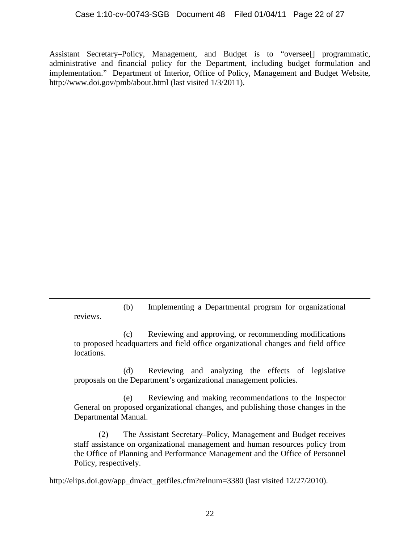Assistant Secretary–Policy, Management, and Budget is to "oversee[] programmatic, administrative and financial policy for the Department, including budget formulation and implementation." Department of Interior, Office of Policy, Management and Budget Website, http://www.doi.gov/pmb/about.html (last visited 1/3/2011).

(b) Implementing a Departmental program for organizational reviews.

 $\overline{a}$ 

(c) Reviewing and approving, or recommending modifications to proposed headquarters and field office organizational changes and field office locations.

(d) Reviewing and analyzing the effects of legislative proposals on the Department's organizational management policies.

(e) Reviewing and making recommendations to the Inspector General on proposed organizational changes, and publishing those changes in the Departmental Manual.

(2) The Assistant Secretary–Policy, Management and Budget receives staff assistance on organizational management and human resources policy from the Office of Planning and Performance Management and the Office of Personnel Policy, respectively.

http://elips.doi.gov/app\_dm/act\_getfiles.cfm?relnum=3380 (last visited 12/27/2010).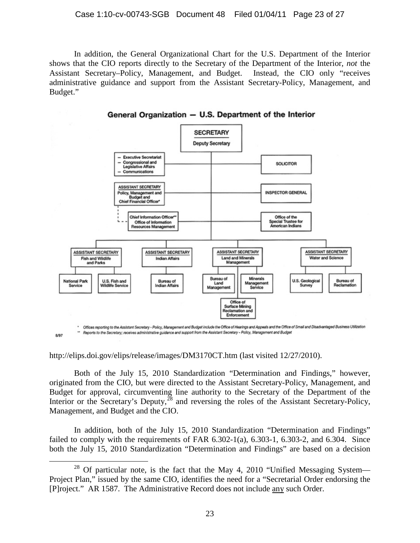In addition, the General Organizational Chart for the U.S. Department of the Interior shows that the CIO reports directly to the Secretary of the Department of the Interior, *not* the Assistant Secretary–Policy, Management, and Budget. Instead, the CIO only "receives administrative guidance and support from the Assistant Secretary-Policy, Management, and Budget."



General Organization - U.S. Department of the Interior

http://elips.doi.gov/elips/release/images/DM3170CT.htm (last visited 12/27/2010).

8/97

Both of the July 15, 2010 Standardization "Determination and Findings," however, originated from the CIO, but were directed to the Assistant Secretary-Policy, Management, and Budget for approval, circumventing line authority to the Secretary of the Department of the Interior or the Secretary's Deputy,  $^{28}$  $^{28}$  $^{28}$  and reversing the roles of the Assistant Secretary-Policy, Management, and Budget and the CIO.

In addition, both of the July 15, 2010 Standardization "Determination and Findings" failed to comply with the requirements of FAR  $6.302-1$ (a),  $6.303-1$ ,  $6.303-2$ , and  $6.304$ . Since both the July 15, 2010 Standardization "Determination and Findings" are based on a decision

<span id="page-22-0"></span> $28$  Of particular note, is the fact that the May 4, 2010 "Unified Messaging System— Project Plan," issued by the same CIO, identifies the need for a "Secretarial Order endorsing the [P]roject." AR 1587. The Administrative Record does not include any such Order.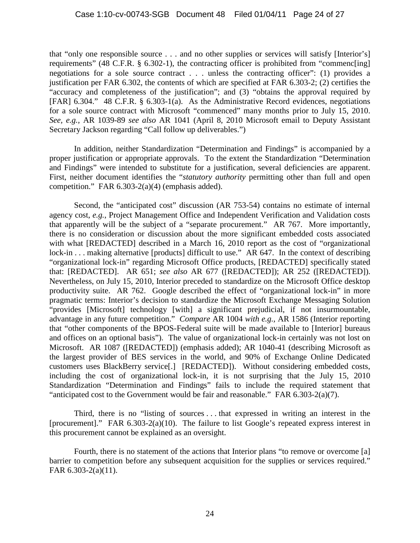that "only one responsible source . . . and no other supplies or services will satisfy [Interior's] requirements" (48 C.F.R. § 6.302-1), the contracting officer is prohibited from "commenc[ing] negotiations for a sole source contract . . . unless the contracting officer": (1) provides a justification per FAR 6.302, the contents of which are specified at FAR 6.303-2; (2) certifies the "accuracy and completeness of the justification"; and (3) "obtains the approval required by [FAR] 6.304." 48 C.F.R. § 6.303-1(a). As the Administrative Record evidences, negotiations for a sole source contract with Microsoft "commenced" many months prior to July 15, 2010. *See, e.g.,* AR 1039-89 *see also* AR 1041 (April 8, 2010 Microsoft email to Deputy Assistant Secretary Jackson regarding "Call follow up deliverables.")

In addition, neither Standardization "Determination and Findings" is accompanied by a proper justification or appropriate approvals. To the extent the Standardization "Determination and Findings" were intended to substitute for a justification, several deficiencies are apparent. First, neither document identifies the "*statutory authority* permitting other than full and open competition." FAR 6.303-2(a)(4) (emphasis added).

Second, the "anticipated cost" discussion (AR 753-54) contains no estimate of internal agency cost, *e.g.*, Project Management Office and Independent Verification and Validation costs that apparently will be the subject of a "separate procurement." AR 767. More importantly, there is no consideration or discussion about the more significant embedded costs associated with what [REDACTED] described in a March 16, 2010 report as the cost of "organizational" lock-in . . . making alternative [products] difficult to use." AR 647. In the context of describing "organizational lock-in" regarding Microsoft Office products, [REDACTED] specifically stated that: [REDACTED]. AR 651; *see also* AR 677 ([REDACTED]); AR 252 ([REDACTED]). Nevertheless, on July 15, 2010, Interior preceded to standardize on the Microsoft Office desktop productivity suite. AR 762. Google described the effect of "organizational lock-in" in more pragmatic terms: Interior's decision to standardize the Microsoft Exchange Messaging Solution "provides [Microsoft] technology [with] a significant prejudicial, if not insurmountable, advantage in any future competition." *Compare* AR 1004 *with e.g.,* AR 1586 (Interior reporting that "other components of the BPOS-Federal suite will be made available to [Interior] bureaus and offices on an optional basis"). The value of organizational lock-in certainly was not lost on Microsoft. AR 1087 ([REDACTED]) (emphasis added); AR 1040-41 (describing Microsoft as the largest provider of BES services in the world, and 90% of Exchange Online Dedicated customers uses BlackBerry service[.] [REDACTED]). Without considering embedded costs, including the cost of organizational lock-in, it is not surprising that the July 15, 2010 Standardization "Determination and Findings" fails to include the required statement that "anticipated cost to the Government would be fair and reasonable." FAR 6.303-2(a)(7).

Third, there is no "listing of sources . . . that expressed in writing an interest in the [procurement]." FAR 6.303-2(a)(10). The failure to list Google's repeated express interest in this procurement cannot be explained as an oversight.

Fourth, there is no statement of the actions that Interior plans "to remove or overcome [a] barrier to competition before any subsequent acquisition for the supplies or services required." FAR 6.303-2(a)(11).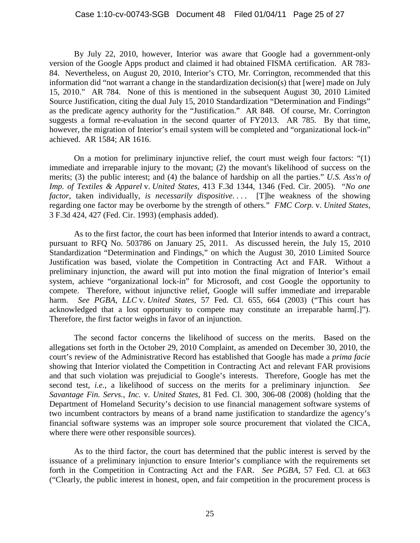By July 22, 2010, however, Interior was aware that Google had a government-only version of the Google Apps product and claimed it had obtained FISMA certification. AR 783- 84. Nevertheless, on August 20, 2010, Interior's CTO, Mr. Corrington, recommended that this information did "not warrant a change in the standardization decision(s) that [were] made on July 15, 2010." AR 784. None of this is mentioned in the subsequent August 30, 2010 Limited Source Justification, citing the dual July 15, 2010 Standardization "Determination and Findings" as the predicate agency authority for the "Justification." AR 848. Of course, Mr. Corrington suggests a formal re-evaluation in the second quarter of FY2013. AR 785. By that time, however, the migration of Interior's email system will be completed and "organizational lock-in" achieved. AR 1584; AR 1616.

On a motion for preliminary injunctive relief, the court must weigh four factors: "(1) immediate and irreparable injury to the movant; (2) the movant's likelihood of success on the merits; (3) the public interest; and (4) the balance of hardship on all the parties." *U.S. Ass'n of Imp. of Textiles & Apparel* v. *United States,* 413 F.3d 1344, 1346 (Fed. Cir. 2005). "*No one factor*, taken individually, *is necessarily dispositive*. . . . [T]he weakness of the showing regarding one factor may be overborne by the strength of others." *FMC Corp.* v. *United States*, 3 F.3d 424, 427 (Fed. Cir. 1993) (emphasis added).

As to the first factor, the court has been informed that Interior intends to award a contract, pursuant to RFQ No. 503786 on January 25, 2011. As discussed herein, the July 15, 2010 Standardization "Determination and Findings," on which the August 30, 2010 Limited Source Justification was based, violate the Competition in Contracting Act and FAR. Without a preliminary injunction, the award will put into motion the final migration of Interior's email system, achieve "organizational lock-in" for Microsoft, and cost Google the opportunity to compete. Therefore, without injunctive relief, Google will suffer immediate and irreparable harm. *See PGBA, LLC* v. *United States*, 57 Fed. Cl. 655, 664 (2003) ("This court has acknowledged that a lost opportunity to compete may constitute an irreparable harm[.]"). Therefore, the first factor weighs in favor of an injunction.

The second factor concerns the likelihood of success on the merits. Based on the allegations set forth in the October 29, 2010 Complaint, as amended on December 30, 2010, the court's review of the Administrative Record has established that Google has made a *prima facie* showing that Interior violated the Competition in Contracting Act and relevant FAR provisions and that such violation was prejudicial to Google's interests. Therefore, Google has met the second test, *i.e.*, a likelihood of success on the merits for a preliminary injunction. *See Savantage Fin. Servs., Inc.* v. *United States*, 81 Fed. Cl. 300, 306-08 (2008) (holding that the Department of Homeland Security's decision to use financial management software systems of two incumbent contractors by means of a brand name justification to standardize the agency's financial software systems was an improper sole source procurement that violated the CICA, where there were other responsible sources).

As to the third factor, the court has determined that the public interest is served by the issuance of a preliminary injunction to ensure Interior's compliance with the requirements set forth in the Competition in Contracting Act and the FAR. *See PGBA*, 57 Fed. Cl. at 663 ("Clearly, the public interest in honest, open, and fair competition in the procurement process is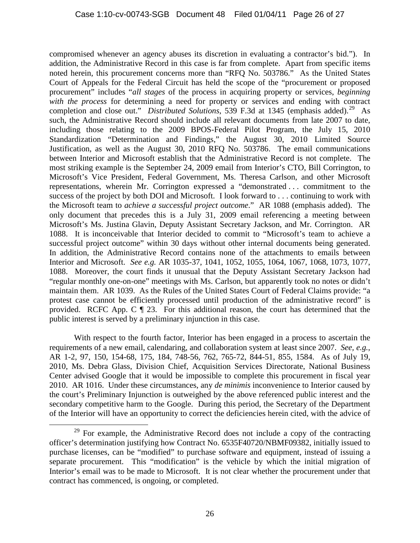compromised whenever an agency abuses its discretion in evaluating a contractor's bid."). In addition, the Administrative Record in this case is far from complete. Apart from specific items noted herein, this procurement concerns more than "RFQ No. 503786." As the United States Court of Appeals for the Federal Circuit has held the scope of the "procurement or proposed procurement" includes "*all stages* of the process in acquiring property or services, *beginning with the process* for determining a need for property or services and ending with contract completion and close out." *Distributed Solutions*, 539 F.3d at 1345 (emphasis added).<sup>[29](#page-25-0)</sup> As such, the Administrative Record should include all relevant documents from late 2007 to date, including those relating to the 2009 BPOS-Federal Pilot Program, the July 15, 2010 Standardization "Determination and Findings," the August 30, 2010 Limited Source Justification, as well as the August 30, 2010 RFQ No. 503786. The email communications between Interior and Microsoft establish that the Administrative Record is not complete. The most striking example is the September 24, 2009 email from Interior's CTO, Bill Corrington, to Microsoft's Vice President, Federal Government, Ms. Theresa Carlson, and other Microsoft representations, wherein Mr. Corrington expressed a "demonstrated . . . commitment to the success of the project by both DOI and Microsoft. I look forward to . . . continuing to work with the Microsoft team to *achieve a successful project outcome*." AR 1088 (emphasis added). The only document that precedes this is a July 31, 2009 email referencing a meeting between Microsoft's Ms. Justina Glavin, Deputy Assistant Secretary Jackson, and Mr. Corrington. AR 1088. It is inconceivable that Interior decided to commit to "Microsoft's team to achieve a successful project outcome" within 30 days without other internal documents being generated. In addition, the Administrative Record contains none of the attachments to emails between Interior and Microsoft. *See e.g.* AR 1035-37, 1041, 1052, 1055, 1064, 1067, 1068, 1073, 1077, 1088. Moreover, the court finds it unusual that the Deputy Assistant Secretary Jackson had "regular monthly one-on-one" meetings with Ms. Carlson, but apparently took no notes or didn't maintain them. AR 1039. As the Rules of the United States Court of Federal Claims provide: "a protest case cannot be efficiently processed until production of the administrative record" is provided. RCFC App. C ¶ 23. For this additional reason, the court has determined that the public interest is served by a preliminary injunction in this case.

With respect to the fourth factor, Interior has been engaged in a process to ascertain the requirements of a new email, calendaring, and collaboration system at least since 2007. *See, e.g.*, AR 1-2, 97, 150, 154-68, 175, 184, 748-56, 762, 765-72, 844-51, 855, 1584. As of July 19, 2010, Ms. Debra Glass, Division Chief, Acquisition Services Directorate, National Business Center advised Google that it would be impossible to complete this procurement in fiscal year 2010. AR 1016. Under these circumstances, any *de minimis* inconvenience to Interior caused by the court's Preliminary Injunction is outweighed by the above referenced public interest and the secondary competitive harm to the Google. During this period, the Secretary of the Department of the Interior will have an opportunity to correct the deficiencies herein cited, with the advice of

<span id="page-25-0"></span> $29$  For example, the Administrative Record does not include a copy of the contracting officer's determination justifying how Contract No. 6535F40720/NBMF09382, initially issued to purchase licenses, can be "modified" to purchase software and equipment, instead of issuing a separate procurement. This "modification" is the vehicle by which the initial migration of Interior's email was to be made to Microsoft. It is not clear whether the procurement under that contract has commenced, is ongoing, or completed.